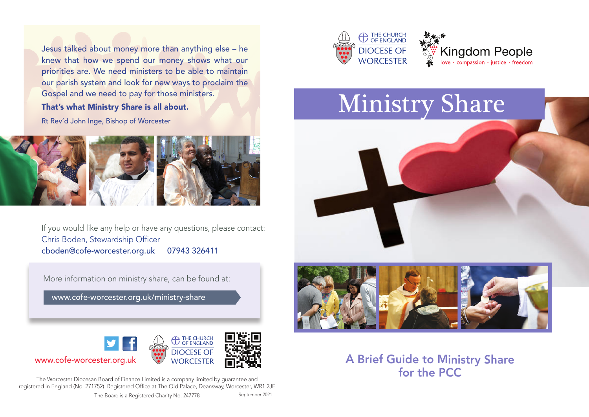Jesus talked about money more than anything else – he knew that how we spend our money shows what our priorities are. We need ministers to be able to maintain our parish system and look for new ways to proclaim the Gospel and we need to pay for those ministers. That's what Ministry Share is all about.

Rt Rev'd John Inge, Bishop of Worcester



If you would like any help or have any questions, please contact: Chris Boden, Stewardship Officer cboden@cofe-worcester.org.uk | 07943 326411

More information on ministry share, can be found at:

www.cofe-worcester.org.uk/ministry-share



The Worcester Diocesan Board of Finance Limited is a company limited by guarantee and registered in England (No. 271752). Registered Office at The Old Palace, Deansway, Worcester, WR1 2JE





# **Ministry Share**



A Brief Guide to Ministry Share for the PCC